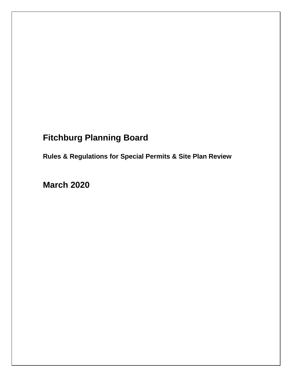# **Fitchburg Planning Board**

**Rules & Regulations for Special Permits & Site Plan Review** 

**March 2020**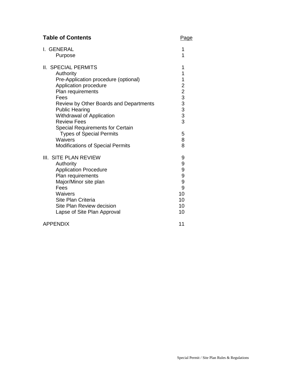| I. GENERAL                                                                                                                                                                                                                                                                                                                                                                                      | 1                                |
|-------------------------------------------------------------------------------------------------------------------------------------------------------------------------------------------------------------------------------------------------------------------------------------------------------------------------------------------------------------------------------------------------|----------------------------------|
| Purpose                                                                                                                                                                                                                                                                                                                                                                                         | 1                                |
| <b>II. SPECIAL PERMITS</b><br>Authority<br>Pre-Application procedure (optional)<br>Application procedure<br>Plan requirements<br>Fees<br>Review by Other Boards and Departments<br><b>Public Hearing</b><br>Withdrawal of Application<br><b>Review Fees</b><br><b>Special Requirements for Certain</b><br><b>Types of Special Permits</b><br>Waivers<br><b>Modifications of Special Permits</b> | 1<br>1<br>1223333<br>5<br>8<br>8 |
| III. SITE PLAN REVIEW                                                                                                                                                                                                                                                                                                                                                                           | 9                                |
| Authority                                                                                                                                                                                                                                                                                                                                                                                       | 9                                |
| <b>Application Procedure</b>                                                                                                                                                                                                                                                                                                                                                                    | 9                                |
| Plan requirements                                                                                                                                                                                                                                                                                                                                                                               | 9                                |
| Major/Minor site plan                                                                                                                                                                                                                                                                                                                                                                           | 9                                |
| Fees                                                                                                                                                                                                                                                                                                                                                                                            | 9                                |
| Waivers                                                                                                                                                                                                                                                                                                                                                                                         | 10                               |
| Site Plan Criteria                                                                                                                                                                                                                                                                                                                                                                              | 10                               |
| Site Plan Review decision                                                                                                                                                                                                                                                                                                                                                                       | 10                               |
| Lapse of Site Plan Approval                                                                                                                                                                                                                                                                                                                                                                     | 10                               |
| <b>APPENDIX</b>                                                                                                                                                                                                                                                                                                                                                                                 | 11                               |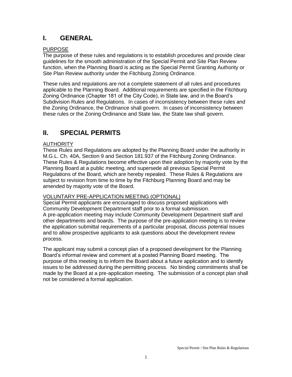# **I. GENERAL**

# PURPOSE

The purpose of these rules and regulations is to establish procedures and provide clear guidelines for the smooth administration of the Special Permit and Site Plan Review function, when the Planning Board is acting as the Special Permit Granting Authority or Site Plan Review authority under the Fitchburg Zoning Ordinance.

These rules and regulations are not a complete statement of all rules and procedures applicable to the Planning Board. Additional requirements are specified in the Fitchburg Zoning Ordinance (Chapter 181 of the City Code), in State law, and in the Board's Subdivision Rules and Regulations. In cases of inconsistency between these rules and the Zoning Ordinance, the Ordinance shall govern. In cases of inconsistency between these rules or the Zoning Ordinance and State law, the State law shall govern.

# **II. SPECIAL PERMITS**

# **AUTHORITY**

These Rules and Regulations are adopted by the Planning Board under the authority in M.G.L. Ch. 40A, Section 9 and Section 181.937 of the Fitchburg Zoning Ordinance. These Rules & Regulations become effective upon their adoption by majority vote by the Planning Board at a public meeting, and supersede all previous Special Permit Regulations of the Board, which are hereby repealed. These Rules & Regulations are subject to revision from time to time by the Fitchburg Planning Board and may be amended by majority vote of the Board.

# VOLUNTARY PRE-APPLICATION MEETING (OPTIONAL)

Special Permit applicants are encouraged to discuss proposed applications with Community Development Department staff prior to a formal submission. A pre-application meeting may include Community Development Department staff and other departments and boards. The purpose of the pre-application meeting is to review the application submittal requirements of a particular proposal, discuss potential issues and to allow prospective applicants to ask questions about the development review process.

The applicant may submit a concept plan of a proposed development for the Planning Board's informal review and comment at a posted Planning Board meeting. The purpose of this meeting is to inform the Board about a future application and to identify issues to be addressed during the permitting process. No binding commitments shall be made by the Board at a pre-application meeting. The submission of a concept plan shall not be considered a formal application.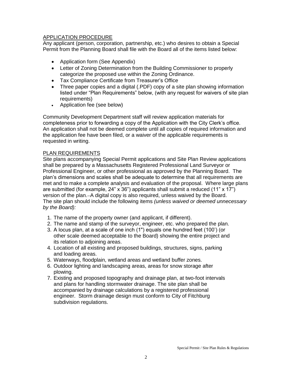# APPLICATION PROCEDURE

Any applicant (person, corporation, partnership, etc.) who desires to obtain a Special Permit from the Planning Board shall file with the Board all of the items listed below:

- Application form (See Appendix)
- Letter of Zoning Determination from the Building Commissioner to properly categorize the proposed use within the Zoning Ordinance.
- Tax Compliance Certificate from Treasurer's Office
- Three paper copies and a digital (.PDF) copy of a site plan showing information listed under "Plan Requirements" below, (with any request for waivers of site plan requirements)
- Application fee (see below)

Community Development Department staff will review application materials for completeness prior to forwarding a copy of the Application with the City Clerk's office. An application shall not be deemed complete until all copies of required information and the application fee have been filed, or a waiver of the applicable requirements is requested in writing.

# PLAN REQUIREMENTS

Site plans accompanying Special Permit applications and Site Plan Review applications shall be prepared by a Massachusetts Registered Professional Land Surveyor or Professional Engineer, or other professional as approved by the Planning Board. The plan's dimensions and scales shall be adequate to determine that all requirements are met and to make a complete analysis and evaluation of the proposal. Where large plans are submitted (for example,  $24" x 36"$ ) applicants shall submit a reduced (11" x 17") version of the plan. A digital copy is also required, unless waived by the Board. The site plan should include the following items *(unless waived or deemed unnecessary by the Board):*

- 1. The name of the property owner (and applicant, if different).
- 2. The name and stamp of the surveyor, engineer, etc. who prepared the plan.
- 3. A locus plan, at a scale of one inch (1") equals one hundred feet (100') (or other scale deemed acceptable to the Board) showing the entire project and its relation to adjoining areas.
- 4. Location of all existing and proposed buildings, structures, signs, parking and loading areas.
- 5. Waterways, floodplain, wetland areas and wetland buffer zones.
- 6. Outdoor lighting and landscaping areas, areas for snow storage after plowing.
- 7. Existing and proposed topography and drainage plan, at two-foot intervals and plans for handling stormwater drainage. The site plan shall be accompanied by drainage calculations by a registered professional engineer. Storm drainage design must conform to City of Fitchburg subdivision regulations.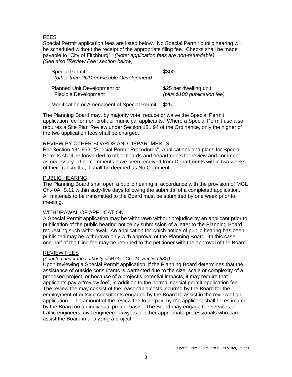# FEES

Special Permit application fees are listed below. No Special Permit public hearing will be scheduled without the receipt of the appropriate filing fee. Checks shall be made payable to "City of Fitchburg". *(Note: application fees are non-refundable) (See also "Review Fee" section below)*

| <b>Special Permit</b><br>(other than PUD or Flexible Development) | \$300                        |
|-------------------------------------------------------------------|------------------------------|
| Planned Unit Development or                                       | \$25 per dwelling unit       |
| <b>Flexible Development</b>                                       | (plus \$100 publication fee) |

Modification or Amendment of Special Permit \$25

The Planning Board may, by majority vote, reduce or waive the Special Permit application fee for non-profit or municipal applicants. Where a Special Permit use also requires a Site Plan Review under Section 181.94 of the Ordinance, only the higher of the two application fees shall be charged.

# REVIEW BY OTHER BOARDS AND DEPARTMENTS

Per Section 181.933, "Special Permit Procedures", Applications and plans for Special Permits shall be forwarded to other boards and departments for review and comment as necessary. If no comments have been received from Departments within two weeks of their transmittal, it shall be deemed as No Comment.

#### PUBLIC HEARING

The Planning Board shall open a public hearing in accordance with the provision of MGL Ch.40A, S.11 within sixty-five days following the submittal of a completed application. All materials to be transmitted to the Board must be submitted by one week prior to meeting.

# WITHDRAWAL OF APPLICATION

A Special Permit application may be withdrawn without prejudice by an applicant prior to publication of the public hearing notice by submission of a letter to the Planning Board requesting such withdrawal. An application for which notice of public hearing has been published may be withdrawn only with approval of the Planning Board. In this case, one-half of the filing fee may be returned to the petitioner with the approval of the Board.

# REVIEW FEES

#### *(Adopted under the authority of M.G.L. Ch. 44, Section 53G)*

Upon reviewing a Special Permit application, if the Planning Board determines that the assistance of outside consultants is warranted due to the size, scale or complexity of a proposed project, or because of a project's potential impacts, it may require that applicants pay a "review fee", in addition to the normal special permit application fee. The review fee may consist of the reasonable costs incurred by the Board for the employment of outside consultants engaged by the Board to assist in the review of an application. The amount of the review fee to be paid by the applicant shall be estimated by the Board on an individual project basis. The Board may engage the services of traffic engineers, civil engineers, lawyers or other appropriate professionals who can assist the Board in analyzing a project.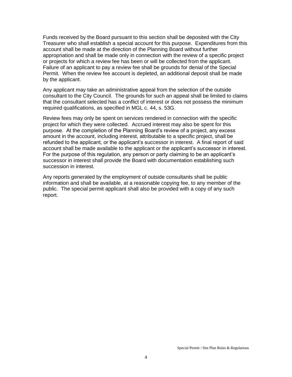Funds received by the Board pursuant to this section shall be deposited with the City Treasurer who shall establish a special account for this purpose. Expenditures from this account shall be made at the direction of the Planning Board without further appropriation and shall be made only in connection with the review of a specific project or projects for which a review fee has been or will be collected from the applicant. Failure of an applicant to pay a review fee shall be grounds for denial of the Special Permit. When the review fee account is depleted, an additional deposit shall be made by the applicant.

Any applicant may take an administrative appeal from the selection of the outside consultant to the City Council. The grounds for such an appeal shall be limited to claims that the consultant selected has a conflict of interest or does not possess the minimum required qualifications, as specified in MGL c. 44, s. 53G.

Review fees may only be spent on services rendered in connection with the specific project for which they were collected. Accrued interest may also be spent for this purpose. At the completion of the Planning Board's review of a project, any excess amount in the account, including interest, attributable to a specific project, shall be refunded to the applicant, or the applicant's successor in interest. A final report of said account shall be made available to the applicant or the applicant's successor in interest. For the purpose of this regulation, any person or party claiming to be an applicant's successor in interest shall provide the Board with documentation establishing such succession in interest.

Any reports generated by the employment of outside consultants shall be public information and shall be available, at a reasonable copying fee, to any member of the public. The special permit applicant shall also be provided with a copy of any such report.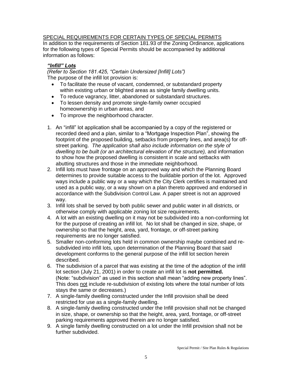# SPECIAL REQUIREMENTS FOR CERTAIN TYPES OF SPECIAL PERMITS

In addition to the requirements of Section 181.93 of the Zoning Ordinance, applications for the following types of Special Permits should be accompanied by additional information as follows:

# *"Infill" Lots*

*(Refer to Section 181.425, "Certain Undersized [Infill] Lots")* The purpose of the infill lot provision is:

- To facilitate the reuse of vacant, condemned, or substandard property within existing urban or blighted areas as single family dwelling units.
- To reduce vagrancy, litter, abandoned or substandard structures.
- To lessen density and promote single-family owner occupied homeownership in urban areas, and
- To improve the neighborhood character.
- 1. An "infill" lot application shall be accompanied by a copy of the registered or recorded deed and a plan, similar to a "Mortgage Inspection Plan", showing the footprint of the proposed building, setbacks from property lines, and area(s) for offstreet parking. *The application shall also include information on the style of dwelling to be built (or an architectural elevation of the structure),* and information to show how the proposed dwelling is consistent in scale and setbacks with abutting structures and those in the immediate neighborhood.
- 2. Infill lots must have frontage on an approved way and which the Planning Board determines to provide suitable access to the buildable portion of the lot. Approved ways include a public way or a way which the City Clerk certifies is maintained and used as a public way, or a way shown on a plan thereto approved and endorsed in accordance with the Subdivision Control Law. A paper street is not an approved way.
- 3. Infill lots shall be served by both public sewer and public water in all districts, or otherwise comply with applicable zoning lot size requirements.
- 4. A lot with an existing dwelling on it may not be subdivided into a non-conforming lot for the purpose of creating an infill lot. No [lot](http://80-www.ordinance.com.ezsm.ez.cwmars.org:4600/dtsearch/D-25009015-gl.html#G34) shall be changed in size, shape, or ownership so that the [height,](http://80-www.ordinance.com.ezsm.ez.cwmars.org:4600/dtsearch/D-25009015-gl.html#G28) area, [yard,](http://80-www.ordinance.com.ezsm.ez.cwmars.org:4600/dtsearch/D-25009015-gl.html#G53) frontage, or off-street parking requirements are no longer satisfied.
- 5. Smaller non-conforming lots held in common ownership maybe combined and resubdivided into infill lots, upon determination of the Planning Board that said development conforms to the general purpose of the infill lot section herein described.
- 6. The subdivision of a parcel that was existing at the time of the adoption of the infill lot section (July 21, 2001) in order to create an infill lot is **not permitted.**  (Note: "subdivision" as used in this section shall mean "adding new property lines". This does not include re-subdivision of existing lots where the total number of lots stays the same or decreases.)
- 7. A single-family dwelling constructed under the Infill provision shall be deed restricted for use as a single-family dwelling.
- 8. A single-family dwelling constructed under the Infill provision shall not be changed in size, shape, or ownership so that the [height,](http://80-www.ordinance.com.ezsm.ez.cwmars.org:4600/dtsearch/D-25009015-gl.html#G28) area, [yard,](http://80-www.ordinance.com.ezsm.ez.cwmars.org:4600/dtsearch/D-25009015-gl.html#G53) frontage, or off-street parking requirements approved therein are no longer satisfied.
- 9. A single family dwelling constructed on a lot under the Infill provision shall not be further subdivided.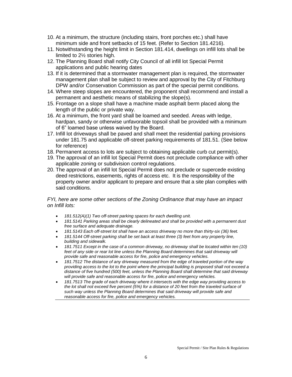- 10. At a minimum, the structure (including stairs, front porches etc.) shall have minimum side and front setbacks of 15 feet. (Refer to Section 181.4216).
- 11. Notwithstanding the height limit in Section 181.414, dwellings on infill lots shall be limited to 2½ stories high.
- 12. The Planning Board shall notify City Council of all infill lot Special Permit applications and public hearing dates
- 13. If it is determined that a stormwater management plan is required, the stormwater management plan shall be subject to review and approval by the City of Fitchburg DPW and/or Conservation Commission as part of the special permit conditions.
- 14. Where steep slopes are encountered, the proponent shall recommend and install a permanent and aesthetic means of stabilizing the slope(s).
- 15. Frontage on a slope shall have a machine made asphalt berm placed along the length of the public or private way.
- 16. At a minimum, the front yard shall be loamed and seeded. Areas with ledge, hardpan, sandy or otherwise unfavorable topsoil shall be provided with a minimum of 6" loamed base unless waived by the Board.
- 17. Infill lot driveways shall be paved and shall meet the residential parking provisions under 181.75 and applicable off-street parking requirements of 181.51. (See below for reference)
- 18. Permanent access to lots are subject to obtaining applicable curb cut permit(s).
- 19. The approval of an infill lot Special Permit does not preclude compliance with other applicable zoning or subdivision control regulations.
- 20. The approval of an infill lot Special Permit does not preclude or supercede existing deed restrictions, easements, rights of access etc. It is the responsibility of the property owner and/or applicant to prepare and ensure that a site plan complies with said conditions.

*FYI, here are some other sections of the Zoning Ordinance that may have an impact on Infill lots:*

- *181.512(A)(1) Two off-street parking spaces for each dwelling unit.*
- *181.5141 Parking areas [shall](http://80-www.ordinance.com.ezsm.ez.cwmars.org:4600/ordinances/25/027/075/D-25027075-gl.html#G160) be clearly delineated an[d shall](http://80-www.ordinance.com.ezsm.ez.cwmars.org:4600/ordinances/25/027/075/D-25027075-gl.html#G160) be provided with a permanent dust free surface and adequate drainage.*
- *181.5143 Each off-street [lot](http://80-www.ordinance.com.ezsm.ez.cwmars.org:4600/ordinances/25/027/075/D-25027075-gl.html#G92) [shall](http://80-www.ordinance.com.ezsm.ez.cwmars.org:4600/ordinances/25/027/075/D-25027075-gl.html#G160) have a[n access driveway](http://80-www.ordinance.com.ezsm.ez.cwmars.org:4600/ordinances/25/027/075/D-25027075-gl.html#G34) no more than thirty-six (36) feet.*
- *181.5144 Off-street parking [shall](http://80-www.ordinance.com.ezsm.ez.cwmars.org:4600/ordinances/25/027/075/D-25027075-gl.html#G160) be set back at least three (3) feet from any property line, [building](http://80-www.ordinance.com.ezsm.ez.cwmars.org:4600/ordinances/25/027/075/D-25027075-gl.html#G53) and sidewalk.*
- *181.7511 Except in the case of a common driveway, no driveway [shall](http://80-www.ordinance.com.ezsm.ez.cwmars.org:4600/ordinances/25/027/075/D-25027075-gl.html#G160) be located within ten (10) feet of any side or rea[r lot](http://80-www.ordinance.com.ezsm.ez.cwmars.org:4600/ordinances/25/027/075/D-25027075-gl.html#G92) line unless the Planning [Board](http://80-www.ordinance.com.ezsm.ez.cwmars.org:4600/ordinances/25/027/075/D-25027075-gl.html#G144) determines that said driveway will provide safe and reasonable access for fire, police and emergency vehicles.*
- *181.7512 The distance of any driveway measured from the edge of traveled portion of the way providing access to th[e lot](http://80-www.ordinance.com.ezsm.ez.cwmars.org:4600/ordinances/25/027/075/D-25027075-gl.html#G92) to the point where the principa[l building](http://80-www.ordinance.com.ezsm.ez.cwmars.org:4600/ordinances/25/027/075/D-25027075-gl.html#G53) is proposed [shall](http://80-www.ordinance.com.ezsm.ez.cwmars.org:4600/ordinances/25/027/075/D-25027075-gl.html#G160) not exceed a distance of five hundred (500) feet, unless the Planning [Board](http://80-www.ordinance.com.ezsm.ez.cwmars.org:4600/ordinances/25/027/075/D-25027075-gl.html#G144) [shall](http://80-www.ordinance.com.ezsm.ez.cwmars.org:4600/ordinances/25/027/075/D-25027075-gl.html#G160) determine that said driveway will provide safe and reasonable access for fire, police and emergency vehicles.*
- *181.7513 The grade of each driveway where it intersects with the edge way providing access to the [lot](http://80-www.ordinance.com.ezsm.ez.cwmars.org:4600/ordinances/25/027/075/D-25027075-gl.html#G92) [shall](http://80-www.ordinance.com.ezsm.ez.cwmars.org:4600/ordinances/25/027/075/D-25027075-gl.html#G160) not exceed five percent (5%) for a distance of 20 feet from the traveled surface of such way unless the Planning [Board](http://80-www.ordinance.com.ezsm.ez.cwmars.org:4600/ordinances/25/027/075/D-25027075-gl.html#G144) determines that said driveway will provide safe and reasonable access for fire, police and emergency vehicles.*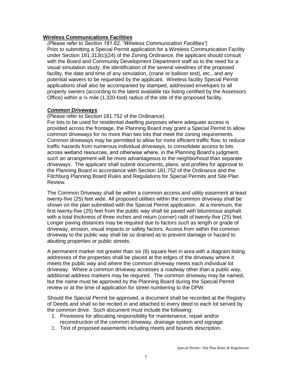#### **Wireless Communications Facilities**

*(Please refer to Section 181.62, "Wireless Communication Facilities")* Prior to submitting a Special Permit application for a Wireless Communication Facility under Section 181.313(c)(24) of the Zoning Ordinance, the applicant should consult with the Board and Community Development Department staff as to the need for a visual simulation study, the identification of the several viewlines of the proposed facility, the date and time of any simulation, (crane or balloon test), etc., and any potential waivers to be requested by the applicant. Wireless facility Special Permit applications shall also be accompanied by stamped, addressed envelopes to all property owners (according to the latest available tax listing certified by the Assessors Office) within a ¼ mile (1,320-foot) radius of the site of the proposed facility.

#### *Common Driveways*

#### (Please refer to Section 181.752 of the Ordinance)

For lots to be used for residential dwelling purposes where adequate access is provided across the frontage, the Planning Board may grant a Special Permit to allow common driveways for no more than two lots that meet the zoning requirements. Common driveways may be permitted to allow for more efficient traffic flow, to reduce traffic hazards from numerous individual driveways, to consolidate access to lots across wetland resources, and otherwise where, in the Planning Board's judgment, such an arrangement will be more advantageous to the neighborhood than separate driveways. The applicant shall submit documents, plans, and profiles for approval to the Planning Board in accordance with Section 181.752 of the Ordinance and the Fitchburg Planning Board Rules and Regulations for Special Permits and Site Plan Review.

The Common Driveway shall be within a common access and utility easement at least twenty-five (25) feet wide. All proposed utilities within the common driveway shall be shown on the plan submitted with the Special Permit application. At a minimum, the first twenty-five (25) feet from the public way shall be paved with bituminous asphalt with a total thickness of three inches and return (corner) radii of twenty-five (25) feet. Longer paving distances may be required due to factors such as length or grade of driveway, erosion, visual impacts or safety factors. Access from within the common driveway to the public way shall be so drained as to prevent damage or hazard to abutting properties or public streets.

A permanent marker not greater than six (6) square feet in area with a diagram listing addresses of the properties shall be placed at the edges of the driveway where it meets the public way and where the common driveway meets each individual lot driveway. Where a common driveway accesses a roadway other than a public way, additional address markers may be required. The common driveway may be named, but the name must be approved by the Planning Board during the Special Permit review or at the time of application for street numbering to the DPW.

Should the Special Permit be approved, a document shall be recorded at the Registry of Deeds and shall so be recited in and attached to every deed to each lot served by the common drive. Such document must include the following:

- 1. Provisions for allocating responsibility for maintenance, repair and/or reconstruction of the common driveway, drainage system and signage.
- 2. Text of proposed easements including meets and bounds description.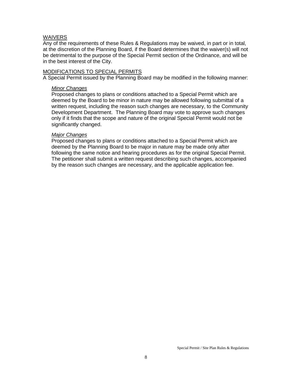#### WAIVERS

Any of the requirements of these Rules & Regulations may be waived, in part or in total, at the discretion of the Planning Board, if the Board determines that the waiver(s) will not be detrimental to the purpose of the Special Permit section of the Ordinance, and will be in the best interest of the City.

#### MODIFICATIONS TO SPECIAL PERMITS

A Special Permit issued by the Planning Board may be modified in the following manner:

#### *Minor Changes*

Proposed changes to plans or conditions attached to a Special Permit which are deemed by the Board to be minor in nature may be allowed following submittal of a written request, including the reason such changes are necessary, to the Community Development Department. The Planning Board may vote to approve such changes only if it finds that the scope and nature of the original Special Permit would not be significantly changed.

#### *Major Changes*

Proposed changes to plans or conditions attached to a Special Permit which are deemed by the Planning Board to be major in nature may be made only after following the same notice and hearing procedures as for the original Special Permit. The petitioner shall submit a written request describing such changes, accompanied by the reason such changes are necessary, and the applicable application fee.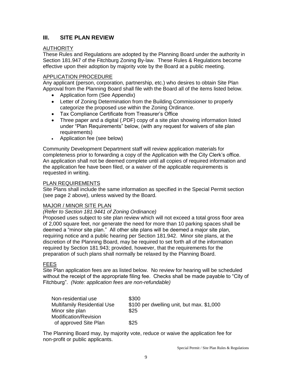# **III. SITE PLAN REVIEW**

# **AUTHORITY**

These Rules and Regulations are adopted by the Planning Board under the authority in Section 181.947 of the Fitchburg Zoning By-law. These Rules & Regulations become effective upon their adoption by majority vote by the Board at a public meeting.

# APPLICATION PROCEDURE

Any applicant (person, corporation, partnership, etc.) who desires to obtain Site Plan Approval from the Planning Board shall file with the Board all of the items listed below.

- Application form (See Appendix)
- Letter of Zoning Determination from the Building Commissioner to properly categorize the proposed use within the Zoning Ordinance.
- Tax Compliance Certificate from Treasurer's Office
- Three paper and a digital (.PDF) copy of a site plan showing information listed under "Plan Requirements" below, (with any request for waivers of site plan requirements)
- Application fee (see below)

Community Development Department staff will review application materials for completeness prior to forwarding a copy of the Application with the City Clerk's office. An application shall not be deemed complete until all copies of required information and the application fee have been filed, or a waiver of the applicable requirements is requested in writing.

# PLAN REQUIREMENTS

Site Plans shall include the same information as specified in the Special Permit section (see page 2 above), unless waived by the Board.

# MAJOR / MINOR SITE PLAN

# *(Refer to Section 181.9441 of Zoning Ordinance)*

Proposed uses subject to site plan review which will not exceed a total gross floor area of 2,000 square feet, nor generate the need for more than 10 parking spaces shall be deemed a "minor site plan." All other site plans will be deemed a major site plan, requiring notice and a public hearing per Section 181.942. Minor site plans, at the discretion of the Planning Board, may be required to set forth all of the information required by Section 181.943; provided, however, that the requirements for the preparation of such plans shall normally be relaxed by the Planning Board.

# FEES

Site Plan application fees are as listed below. No review for hearing will be scheduled without the receipt of the appropriate filing fee. Checks shall be made payable to "City of Fitchburg". *(Note: application fees are non-refundable)* 

| Non-residential use                | \$300                                     |
|------------------------------------|-------------------------------------------|
| <b>Multifamily Residential Use</b> | \$100 per dwelling unit, but max. \$1,000 |
| Minor site plan                    | \$25                                      |
| Modification/Revision              |                                           |
| of approved Site Plan              | \$25                                      |

The Planning Board may, by majority vote, reduce or waive the application fee for non-profit or public applicants.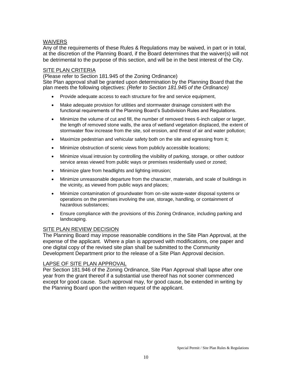### WAIVERS

Any of the requirements of these Rules & Regulations may be waived, in part or in total, at the discretion of the Planning Board, if the Board determines that the waiver(s) will not be detrimental to the purpose of this section, and will be in the best interest of the City.

#### SITE PLAN CRITERIA

(Please refer to Section 181.945 of the Zoning Ordinance)

Site Plan approval shall be granted upon determination by the Planning Board that the plan meets the following objectives: *(Refer to Section 181.945 of the Ordinance)* 

- Provide adequate access to each structure for fire and service equipment,
- Make adequate provision for utilities and stormwater drainage consistent with the functional requirements of the Planning Board's Subdivision Rules and Regulations.
- Minimize the volume of cut and fill, the number of removed trees 6-inch caliper or larger, the length of removed stone walls, the area of wetland vegetation displaced, the extent of stormwater flow increase from the site, soil erosion, and threat of air and water pollution;
- Maximize pedestrian and vehicular safety both on the site and egressing from it;
- Minimize obstruction of scenic views from publicly accessible locations;
- Minimize visual intrusion by controlling the visibility of parking, storage, or other outdoor service areas viewed from public ways or premises residentially used or zoned;
- Minimize glare from headlights and lighting intrusion;
- Minimize unreasonable departure from the character, materials, and scale of buildings in the vicinity, as viewed from public ways and places;
- Minimize contamination of groundwater from on-site waste-water disposal systems or operations on the premises involving the use, storage, handling, or containment of hazardous substances;
- Ensure compliance with the provisions of this Zoning Ordinance, including parking and landscaping.

#### **SITE PLAN REVIEW DECISION**

The Planning Board may impose reasonable conditions in the Site Plan Approval, at the expense of the applicant. Where a plan is approved with modifications, one paper and one digital copy of the revised site plan shall be submitted to the Community Development Department prior to the release of a Site Plan Approval decision.

#### LAPSE OF SITE PLAN APPROVAL

Per Section 181.946 of the Zoning Ordinance, Site Plan Approval shall lapse after one year from the grant thereof if a substantial use thereof has not sooner commenced except for good cause. Such approval may, for good cause, be extended in writing by the Planning Board upon the written request of the applicant.